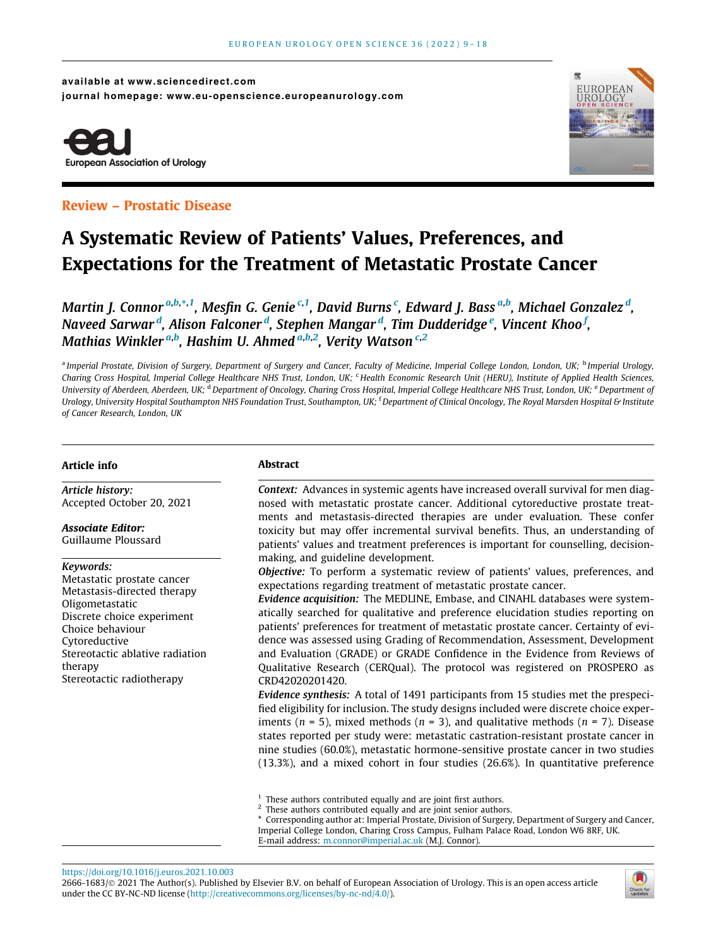available at www.sciencedirect.com journal homepage: www.eu-openscience.europeanurology.com





# A Systematic Review of Patients' Values, Preferences, and Expectations for the Treatment of Metastatic Prostate Cancer

Martin J. Connor<sup>.a,b,\*,1</sup>, Mesfin G. Genie <sup>c,1</sup>, David Burns <sup>c</sup>, Edward J. Bass <sup>a,b</sup>, Michael Gonzalez <sup>d</sup>, Naveed Sarwar <sup>d</sup>, Alison Falconer <sup>d</sup>, Stephen Mangar <sup>d</sup>, Tim Dudderidge <sup>e</sup>, Vincent Khoo <sup>f</sup>, Mathias Winkler <sup>a,b</sup>, Hashim U. Ahmed <sup>a,b,2</sup>, Verity Watson <sup>c,2</sup>

<sup>a</sup> Imperial Prostate, Division of Surgery, Department of Surgery and Cancer, Faculty of Medicine, Imperial College London, London, UK; <sup>b</sup> Imperial Urology, Charing Cross Hospital, Imperial College Healthcare NHS Trust, London, UK; <sup>c</sup> Health Economic Research Unit (HERU), Institute of Applied Health Sciences, University of Aberdeen, Aberdeen, UK; <sup>d</sup> Department of Oncology, Charing Cross Hospital, Imperial College Healthcare NHS Trust, London, UK; <sup>e</sup> Department of Urology, University Hospital Southampton NHS Foundation Trust, Southampton, UK; <sup>f</sup> Department of Clinical Oncology, The Royal Marsden Hospital & Institute of Cancer Research, London, UK

# Article info

Article history: Accepted October 20, 2021

Associate Editor: Guillaume Ploussard

#### Keywords:

Metastatic prostate cancer Metastasis-directed therapy Oligometastatic Discrete choice experiment Choice behaviour Cytoreductive Stereotactic ablative radiation therapy Stereotactic radiotherapy

## Abstract

Context: Advances in systemic agents have increased overall survival for men diagnosed with metastatic prostate cancer. Additional cytoreductive prostate treatments and metastasis-directed therapies are under evaluation. These confer toxicity but may offer incremental survival benefits. Thus, an understanding of patients' values and treatment preferences is important for counselling, decisionmaking, and guideline development.

Objective: To perform a systematic review of patients' values, preferences, and expectations regarding treatment of metastatic prostate cancer.

Evidence acquisition: The MEDLINE, Embase, and CINAHL databases were systematically searched for qualitative and preference elucidation studies reporting on patients' preferences for treatment of metastatic prostate cancer. Certainty of evidence was assessed using Grading of Recommendation, Assessment, Development and Evaluation (GRADE) or GRADE Confidence in the Evidence from Reviews of Qualitative Research (CERQual). The protocol was registered on PROSPERO as CRD42020201420.

Evidence synthesis: A total of 1491 participants from 15 studies met the prespecified eligibility for inclusion. The study designs included were discrete choice experiments ( $n = 5$ ), mixed methods ( $n = 3$ ), and qualitative methods ( $n = 7$ ). Disease states reported per study were: metastatic castration-resistant prostate cancer in nine studies (60.0%), metastatic hormone-sensitive prostate cancer in two studies (13.3%), and a mixed cohort in four studies (26.6%). In quantitative preference

\* Corresponding author at: Imperial Prostate, Division of Surgery, Department of Surgery and Cancer, Imperial College London, Charing Cross Campus, Fulham Palace Road, London W6 8RF, UK. E-mail address: [m.connor@imperial.ac.uk](mailto:m.connor@imperial.ac.uk) (M.J. Connor).

<https://doi.org/10.1016/j.euros.2021.10.003> 2666-1683/© 2021 The Author(s). Published by Elsevier B.V. on behalf of European Association of Urology. This is an open access article under the CC BY-NC-ND license (<http://creativecommons.org/licenses/by-nc-nd/4.0/>).



 $^{\rm 1}$  These authors contributed equally and are joint first authors.  $^{\rm 2}$  These authors contributed equally and are joint senior authors.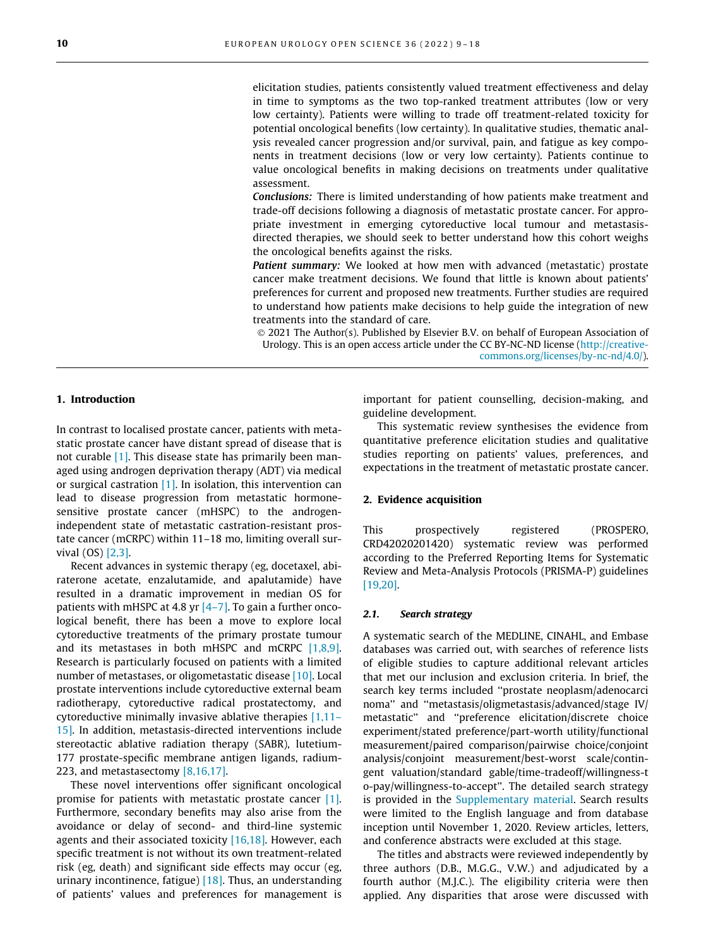elicitation studies, patients consistently valued treatment effectiveness and delay in time to symptoms as the two top-ranked treatment attributes (low or very low certainty). Patients were willing to trade off treatment-related toxicity for potential oncological benefits (low certainty). In qualitative studies, thematic analysis revealed cancer progression and/or survival, pain, and fatigue as key components in treatment decisions (low or very low certainty). Patients continue to value oncological benefits in making decisions on treatments under qualitative assessment.

Conclusions: There is limited understanding of how patients make treatment and trade-off decisions following a diagnosis of metastatic prostate cancer. For appropriate investment in emerging cytoreductive local tumour and metastasisdirected therapies, we should seek to better understand how this cohort weighs the oncological benefits against the risks.

**Patient summary:** We looked at how men with advanced (metastatic) prostate cancer make treatment decisions. We found that little is known about patients' preferences for current and proposed new treatments. Further studies are required to understand how patients make decisions to help guide the integration of new treatments into the standard of care.

 2021 The Author(s). Published by Elsevier B.V. on behalf of European Association of Urology. This is an open access article under the CC BY-NC-ND license [\(http://creative](http://creativecommons.org/licenses/by-nc-nd/4.0/)[commons.org/licenses/by-nc-nd/4.0/\)](http://creativecommons.org/licenses/by-nc-nd/4.0/).

## 1. Introduction

In contrast to localised prostate cancer, patients with metastatic prostate cancer have distant spread of disease that is not curable [\[1\]](#page-8-0). This disease state has primarily been managed using androgen deprivation therapy (ADT) via medical or surgical castration  $[1]$ . In isolation, this intervention can lead to disease progression from metastatic hormonesensitive prostate cancer (mHSPC) to the androgenindependent state of metastatic castration-resistant prostate cancer (mCRPC) within 11–18 mo, limiting overall survival (OS) [\[2,3\].](#page-8-0)

Recent advances in systemic therapy (eg, docetaxel, abiraterone acetate, enzalutamide, and apalutamide) have resulted in a dramatic improvement in median OS for patients with mHSPC at 4.8 yr  $[4-7]$ . To gain a further oncological benefit, there has been a move to explore local cytoreductive treatments of the primary prostate tumour and its metastases in both mHSPC and mCRPC [\[1,8,9\]](#page-8-0). Research is particularly focused on patients with a limited number of metastases, or oligometastatic disease [\[10\].](#page-8-0) Local prostate interventions include cytoreductive external beam radiotherapy, cytoreductive radical prostatectomy, and cytoreductive minimally invasive ablative therapies [\[1,11–](#page-8-0) [15\].](#page-8-0) In addition, metastasis-directed interventions include stereotactic ablative radiation therapy (SABR), lutetium-177 prostate-specific membrane antigen ligands, radium-223, and metastasectomy [\[8,16,17\]](#page-8-0).

These novel interventions offer significant oncological promise for patients with metastatic prostate cancer [\[1\]](#page-8-0). Furthermore, secondary benefits may also arise from the avoidance or delay of second- and third-line systemic agents and their associated toxicity [\[16,18\]](#page-8-0). However, each specific treatment is not without its own treatment-related risk (eg, death) and significant side effects may occur (eg, urinary incontinence, fatigue)  $[18]$ . Thus, an understanding of patients' values and preferences for management is

important for patient counselling, decision-making, and guideline development.

This systematic review synthesises the evidence from quantitative preference elicitation studies and qualitative studies reporting on patients' values, preferences, and expectations in the treatment of metastatic prostate cancer.

# 2. Evidence acquisition

This prospectively registered (PROSPERO, CRD42020201420) systematic review was performed according to the Preferred Reporting Items for Systematic Review and Meta-Analysis Protocols (PRISMA-P) guidelines [\[19,20\].](#page-8-0)

## 2.1. Search strategy

A systematic search of the MEDLINE, CINAHL, and Embase databases was carried out, with searches of reference lists of eligible studies to capture additional relevant articles that met our inclusion and exclusion criteria. In brief, the search key terms included ''prostate neoplasm/adenocarci noma'' and ''metastasis/oligmetastasis/advanced/stage IV/ metastatic'' and ''preference elicitation/discrete choice experiment/stated preference/part-worth utility/functional measurement/paired comparison/pairwise choice/conjoint analysis/conjoint measurement/best-worst scale/contingent valuation/standard gable/time-tradeoff/willingness-t o-pay/willingness-to-accept''. The detailed search strategy is provided in the Supplementary material. Search results were limited to the English language and from database inception until November 1, 2020. Review articles, letters, and conference abstracts were excluded at this stage.

The titles and abstracts were reviewed independently by three authors (D.B., M.G.G., V.W.) and adjudicated by a fourth author (M.J.C.). The eligibility criteria were then applied. Any disparities that arose were discussed with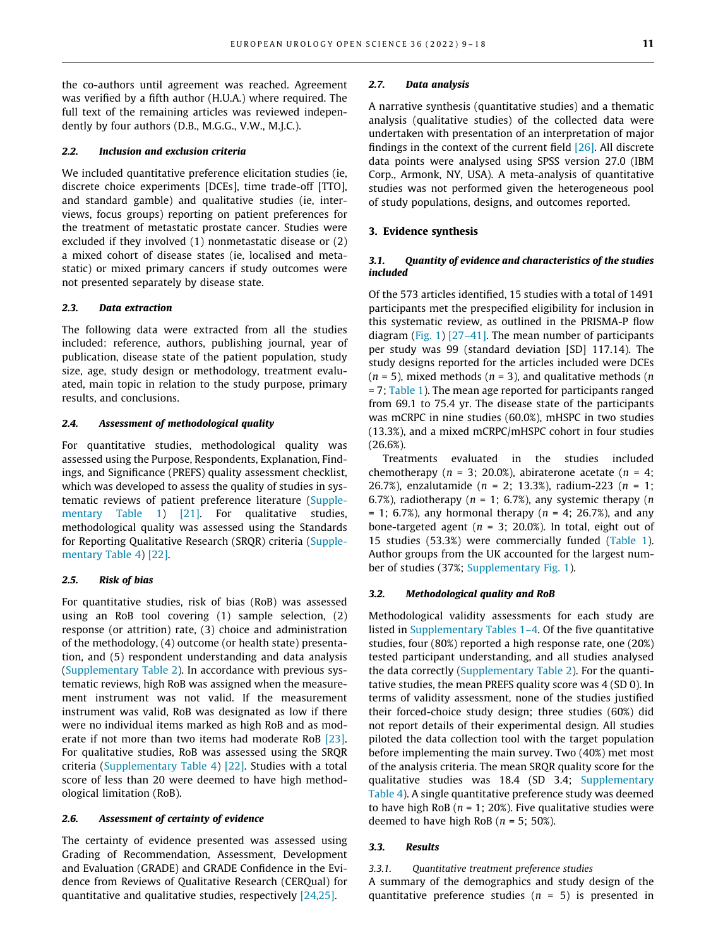the co-authors until agreement was reached. Agreement was verified by a fifth author (H.U.A.) where required. The full text of the remaining articles was reviewed independently by four authors (D.B., M.G.G., V.W., M.J.C.).

#### 2.2. Inclusion and exclusion criteria

We included quantitative preference elicitation studies (ie, discrete choice experiments [DCEs], time trade-off [TTO], and standard gamble) and qualitative studies (ie, interviews, focus groups) reporting on patient preferences for the treatment of metastatic prostate cancer. Studies were excluded if they involved (1) nonmetastatic disease or (2) a mixed cohort of disease states (ie, localised and metastatic) or mixed primary cancers if study outcomes were not presented separately by disease state.

# 2.3. Data extraction

The following data were extracted from all the studies included: reference, authors, publishing journal, year of publication, disease state of the patient population, study size, age, study design or methodology, treatment evaluated, main topic in relation to the study purpose, primary results, and conclusions.

## 2.4. Assessment of methodological quality

For quantitative studies, methodological quality was assessed using the Purpose, Respondents, Explanation, Findings, and Significance (PREFS) quality assessment checklist, which was developed to assess the quality of studies in systematic reviews of patient preference literature (Supple-mentary Table 1) [\[21\]](#page-8-0). For qualitative studies, methodological quality was assessed using the Standards for Reporting Qualitative Research (SRQR) criteria (Supplementary Table 4) [\[22\].](#page-8-0)

#### 2.5. Risk of bias

For quantitative studies, risk of bias (RoB) was assessed using an RoB tool covering (1) sample selection, (2) response (or attrition) rate, (3) choice and administration of the methodology, (4) outcome (or health state) presentation, and (5) respondent understanding and data analysis (Supplementary Table 2). In accordance with previous systematic reviews, high RoB was assigned when the measurement instrument was not valid. If the measurement instrument was valid, RoB was designated as low if there were no individual items marked as high RoB and as moderate if not more than two items had moderate RoB [\[23\].](#page-8-0) For qualitative studies, RoB was assessed using the SRQR criteria (Supplementary Table 4) [\[22\].](#page-8-0) Studies with a total score of less than 20 were deemed to have high methodological limitation (RoB).

#### 2.6. Assessment of certainty of evidence

The certainty of evidence presented was assessed using Grading of Recommendation, Assessment, Development and Evaluation (GRADE) and GRADE Confidence in the Evidence from Reviews of Qualitative Research (CERQual) for quantitative and qualitative studies, respectively [\[24,25\]](#page-8-0).

#### 2.7. Data analysis

A narrative synthesis (quantitative studies) and a thematic analysis (qualitative studies) of the collected data were undertaken with presentation of an interpretation of major findings in the context of the current field [\[26\].](#page-8-0) All discrete data points were analysed using SPSS version 27.0 (IBM Corp., Armonk, NY, USA). A meta-analysis of quantitative studies was not performed given the heterogeneous pool of study populations, designs, and outcomes reported.

### 3. Evidence synthesis

#### 3.1. Quantity of evidence and characteristics of the studies included

Of the 573 articles identified, 15 studies with a total of 1491 participants met the prespecified eligibility for inclusion in this systematic review, as outlined in the PRISMA-P flow diagram [\(Fig. 1\)](#page-3-0) [\[27–41\]](#page-8-0). The mean number of participants per study was 99 (standard deviation [SD] 117.14). The study designs reported for the articles included were DCEs  $(n = 5)$ , mixed methods  $(n = 3)$ , and qualitative methods  $(n = 5)$ = 7; [Table 1](#page-4-0)). The mean age reported for participants ranged from 69.1 to 75.4 yr. The disease state of the participants was mCRPC in nine studies (60.0%), mHSPC in two studies (13.3%), and a mixed mCRPC/mHSPC cohort in four studies (26.6%).

Treatments evaluated in the studies included chemotherapy ( $n = 3$ ; 20.0%), abiraterone acetate ( $n = 4$ ; 26.7%), enzalutamide ( $n = 2$ ; 13.3%), radium-223 ( $n = 1$ ; 6.7%), radiotherapy ( $n = 1$ ; 6.7%), any systemic therapy ( $n$  $= 1$ ; 6.7%), any hormonal therapy ( $n = 4$ ; 26.7%), and any bone-targeted agent ( $n = 3$ ; 20.0%). In total, eight out of 15 studies (53.3%) were commercially funded [\(Table 1\)](#page-4-0). Author groups from the UK accounted for the largest number of studies (37%; Supplementary Fig. 1).

#### 3.2. Methodological quality and RoB

Methodological validity assessments for each study are listed in Supplementary Tables 1–4. Of the five quantitative studies, four (80%) reported a high response rate, one (20%) tested participant understanding, and all studies analysed the data correctly (Supplementary Table 2). For the quantitative studies, the mean PREFS quality score was 4 (SD 0). In terms of validity assessment, none of the studies justified their forced-choice study design; three studies (60%) did not report details of their experimental design. All studies piloted the data collection tool with the target population before implementing the main survey. Two (40%) met most of the analysis criteria. The mean SRQR quality score for the qualitative studies was 18.4 (SD 3.4; Supplementary Table 4). A single quantitative preference study was deemed to have high RoB ( $n = 1$ ; 20%). Five qualitative studies were deemed to have high RoB ( $n = 5$ ; 50%).

## 3.3. Results

# 3.3.1. Quantitative treatment preference studies

A summary of the demographics and study design of the quantitative preference studies  $(n = 5)$  is presented in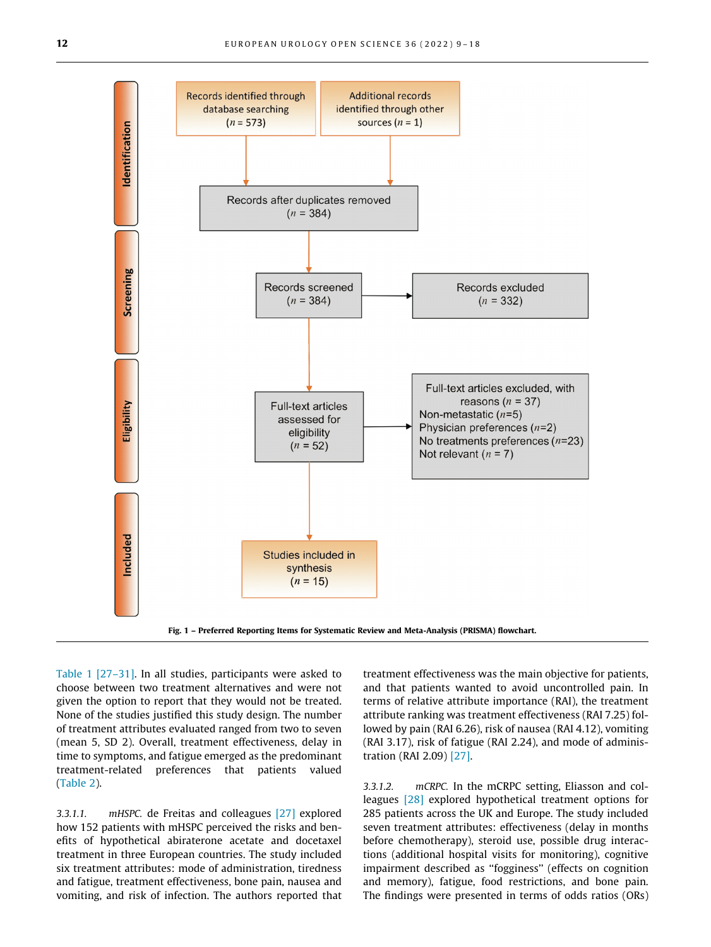<span id="page-3-0"></span>

Fig. 1 – Preferred Reporting Items for Systematic Review and Meta-Analysis (PRISMA) flowchart.

[Table 1](#page-4-0) [\[27–31\].](#page-8-0) In all studies, participants were asked to choose between two treatment alternatives and were not given the option to report that they would not be treated. None of the studies justified this study design. The number of treatment attributes evaluated ranged from two to seven (mean 5, SD 2). Overall, treatment effectiveness, delay in time to symptoms, and fatigue emerged as the predominant treatment-related preferences that patients valued ([Table 2](#page-5-0)).

3.3.1.1. mHSPC. de Freitas and colleagues [\[27\]](#page-8-0) explored how 152 patients with mHSPC perceived the risks and benefits of hypothetical abiraterone acetate and docetaxel treatment in three European countries. The study included six treatment attributes: mode of administration, tiredness and fatigue, treatment effectiveness, bone pain, nausea and vomiting, and risk of infection. The authors reported that

treatment effectiveness was the main objective for patients, and that patients wanted to avoid uncontrolled pain. In terms of relative attribute importance (RAI), the treatment attribute ranking was treatment effectiveness (RAI 7.25) followed by pain (RAI 6.26), risk of nausea (RAI 4.12), vomiting (RAI 3.17), risk of fatigue (RAI 2.24), and mode of administration (RAI 2.09) [\[27\].](#page-8-0)

3.3.1.2. mCRPC. In the mCRPC setting, Eliasson and colleagues [\[28\]](#page-8-0) explored hypothetical treatment options for 285 patients across the UK and Europe. The study included seven treatment attributes: effectiveness (delay in months before chemotherapy), steroid use, possible drug interactions (additional hospital visits for monitoring), cognitive impairment described as ''fogginess'' (effects on cognition and memory), fatigue, food restrictions, and bone pain. The findings were presented in terms of odds ratios (ORs)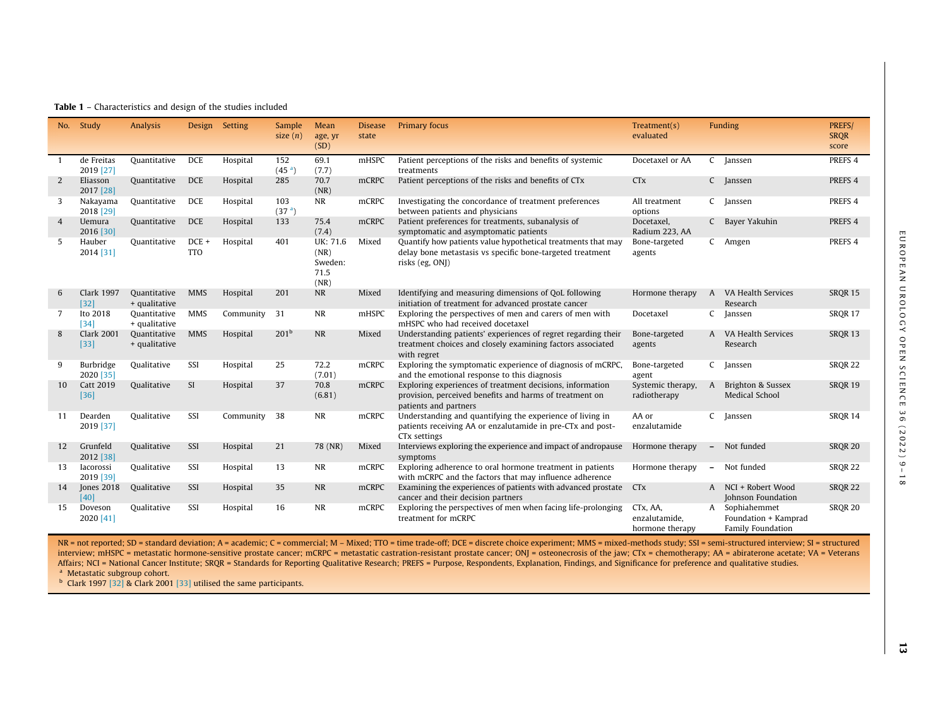<span id="page-4-0"></span>

|    | No. Study                   | Analysis                      | Design              | Setting   | Sample<br>size $(n)$      | Mean<br>age, yr<br>(SD)                     | <b>Disease</b><br>state | Primary focus                                                                                                                                 | Treatment(s)<br>evaluated                    |                          | Funding                                                            | PREFS/<br><b>SRQR</b><br>score |
|----|-----------------------------|-------------------------------|---------------------|-----------|---------------------------|---------------------------------------------|-------------------------|-----------------------------------------------------------------------------------------------------------------------------------------------|----------------------------------------------|--------------------------|--------------------------------------------------------------------|--------------------------------|
|    | de Freitas<br>2019 [27]     | Quantitative                  | <b>DCE</b>          | Hospital  | 152<br>(45 <sup>a</sup> ) | 69.1<br>(7.7)                               | mHSPC                   | Patient perceptions of the risks and benefits of systemic<br>treatments                                                                       | Docetaxel or AA                              |                          | C Janssen                                                          | PREFS <sub>4</sub>             |
| 2  | Eliasson<br>2017 [28]       | Quantitative                  | <b>DCE</b>          | Hospital  | 285                       | 70.7<br>(NR)                                | mCRPC                   | Patient perceptions of the risks and benefits of CTx                                                                                          | <b>CT<sub>x</sub></b>                        |                          | C Janssen                                                          | PREFS <sub>4</sub>             |
| 3  | Nakayama<br>2018 [29]       | Quantitative                  | <b>DCE</b>          | Hospital  | 103<br>(37 <sup>a</sup> ) | <b>NR</b>                                   | mCRPC                   | Investigating the concordance of treatment preferences<br>between patients and physicians                                                     | All treatment<br>options                     |                          | C Janssen                                                          | PREFS <sub>4</sub>             |
| 4  | Uemura<br>2016 [30]         | Quantitative                  | <b>DCE</b>          | Hospital  | 133                       | 75.4<br>(7.4)                               | <b>mCRPC</b>            | Patient preferences for treatments, subanalysis of<br>symptomatic and asymptomatic patients                                                   | Docetaxel,<br>Radium 223, AA                 |                          | C Bayer Yakuhin                                                    | PREFS <sub>4</sub>             |
| 5  | Hauber<br>2014 [31]         | Quantitative                  | DCE +<br><b>TTO</b> | Hospital  | 401                       | UK: 71.6<br>(NR)<br>Sweden:<br>71.5<br>(NR) | Mixed                   | Quantify how patients value hypothetical treatments that may<br>delay bone metastasis vs specific bone-targeted treatment<br>risks (eg, ONJ)  | Bone-targeted<br>agents                      |                          | C Amgen                                                            | PREFS 4                        |
| 6  | <b>Clark 1997</b><br>$[32]$ | Quantitative<br>+ qualitative | <b>MMS</b>          | Hospital  | 201                       | <b>NR</b>                                   | Mixed                   | Identifying and measuring dimensions of QoL following<br>initiation of treatment for advanced prostate cancer                                 | Hormone therapy                              |                          | A VA Health Services<br>Research                                   | SRQR 15                        |
| 7  | Ito 2018<br>$[34]$          | Quantitative<br>+ qualitative | <b>MMS</b>          | Community | 31                        | <b>NR</b>                                   | mHSPC                   | Exploring the perspectives of men and carers of men with<br>mHSPC who had received docetaxel                                                  | Docetaxel                                    |                          | C Janssen                                                          | SRQR 17                        |
| 8  | <b>Clark 2001</b><br>$[33]$ | Quantitative<br>+ qualitative | <b>MMS</b>          | Hospital  | 201 <sup>b</sup>          | <b>NR</b>                                   | Mixed                   | Understanding patients' experiences of regret regarding their<br>treatment choices and closely examining factors associated<br>with regret    | Bone-targeted<br>agents                      |                          | A VA Health Services<br>Research                                   | SRQR 13                        |
| 9  | Burbridge<br>2020 [35]      | Qualitative                   | SSI                 | Hospital  | 25                        | 72.2<br>(7.01)                              | mCRPC                   | Exploring the symptomatic experience of diagnosis of mCRPC,<br>and the emotional response to this diagnosis                                   | Bone-targeted<br>agent                       |                          | C Janssen                                                          | <b>SROR 22</b>                 |
| 10 | <b>Catt 2019</b><br>$[36]$  | Qualitative                   | SI                  | Hospital  | 37                        | 70.8<br>(6.81)                              | mCRPC                   | Exploring experiences of treatment decisions, information<br>provision, perceived benefits and harms of treatment on<br>patients and partners | Systemic therapy,<br>radiotherapy            | $\mathsf{A}$             | Brighton & Sussex<br><b>Medical School</b>                         | SROR 19                        |
| 11 | Dearden<br>2019 [37]        | Qualitative                   | SSI                 | Community | 38                        | <b>NR</b>                                   | mCRPC                   | Understanding and quantifying the experience of living in<br>patients receiving AA or enzalutamide in pre-CTx and post-<br>CTx settings       | AA or<br>enzalutamide                        | C                        | Janssen                                                            | SRQR 14                        |
| 12 | Grunfeld<br>2012 [38]       | Qualitative                   | SSI                 | Hospital  | 21                        | 78 (NR)                                     | Mixed                   | Interviews exploring the experience and impact of andropause<br>symptoms                                                                      | Hormone therapy                              |                          | - Not funded                                                       | <b>SRQR 20</b>                 |
| 13 | Iacorossi<br>2019 [39]      | Qualitative                   | SSI                 | Hospital  | 13                        | <b>NR</b>                                   | mCRPC                   | Exploring adherence to oral hormone treatment in patients<br>with mCRPC and the factors that may influence adherence                          | Hormone therapy                              | $\overline{\phantom{a}}$ | Not funded                                                         | SRQR 22                        |
| 14 | Jones 2018<br>[40]          | Qualitative                   | SSI                 | Hospital  | 35                        | <b>NR</b>                                   | mCRPC                   | Examining the experiences of patients with advanced prostate CTx<br>cancer and their decision partners                                        |                                              |                          | A NCI + Robert Wood<br>Johnson Foundation                          | SRQR 22                        |
| 15 | Doveson<br>2020 [41]        | Qualitative                   | SSI                 | Hospital  | 16                        | NR                                          | mCRPC                   | Exploring the perspectives of men when facing life-prolonging<br>treatment for mCRPC                                                          | CTx, AA,<br>enzalutamide,<br>hormone therapy |                          | A Sophiahemmet<br>Foundation + Kamprad<br><b>Family Foundation</b> | <b>SRQR 20</b>                 |

NR = not reported; SD = standard deviation; A = academic; C = commercial; M - Mixed; TTO = time trade-off; DCE = discrete choice experiment; MMS = mixed-methods study; SSI = semi-structured interview; SI = structured interview; mHSPC <sup>=</sup> metastatic hormone-sensitive prostate cancer; mCRPC <sup>=</sup> metastatic castration-resistant prostate cancer; ONJ <sup>=</sup> osteonecrosis of the jaw; CTx <sup>=</sup> chemotherapy; AA <sup>=</sup> abiraterone acetate; VA <sup>=</sup> Veterans Affairs; NCI = National Cancer Institute; SRQR = Standards for Reporting Qualitative Research; PREFS = Purpose, Respondents, Explanation, Findings, and Significance for preference and qualitative studies. <sup>a</sup> Metastatic subgroup cohort.

 $<sup>b</sup>$  Clark 1997 [\[32\]](#page-9-0) & Clark 2001 [\[33\]](#page-9-0) utilised the same participants.</sup>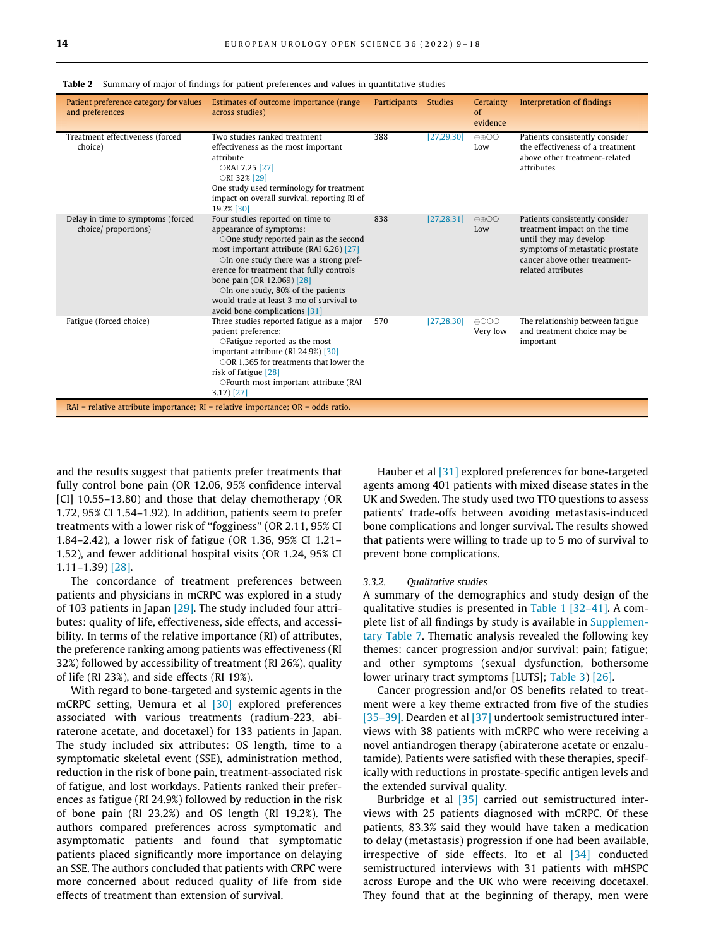| Patient preference category for values<br>and preferences                             | Estimates of outcome importance (range)<br>across studies)                                                                                                                                                                                                                                                                                                                                      | <b>Participants</b> | <b>Studies</b> | Certainty<br>of<br>evidence | Interpretation of findings                                                                                                                                                         |  |  |
|---------------------------------------------------------------------------------------|-------------------------------------------------------------------------------------------------------------------------------------------------------------------------------------------------------------------------------------------------------------------------------------------------------------------------------------------------------------------------------------------------|---------------------|----------------|-----------------------------|------------------------------------------------------------------------------------------------------------------------------------------------------------------------------------|--|--|
| Treatment effectiveness (forced<br>choice)                                            | Two studies ranked treatment<br>effectiveness as the most important<br>attribute<br>ORAI 7.25 [27]<br>ORI 32% [29]<br>One study used terminology for treatment<br>impact on overall survival, reporting RI of<br>19.2% [30]                                                                                                                                                                     | 388                 | [27, 29, 30]   | <b>AAOO</b><br>Low          | Patients consistently consider<br>the effectiveness of a treatment<br>above other treatment-related<br>attributes                                                                  |  |  |
| Delay in time to symptoms (forced<br>choice/ proportions)                             | Four studies reported on time to<br>appearance of symptoms:<br>$\odot$ One study reported pain as the second<br>most important attribute (RAI 6.26) [27]<br>OIn one study there was a strong pref-<br>erence for treatment that fully controls<br>bone pain (OR 12.069) [28]<br>OIn one study, 80% of the patients<br>would trade at least 3 mo of survival to<br>avoid bone complications [31] | 838                 | [27, 28, 31]   | $\oplus$ OO<br>Low          | Patients consistently consider<br>treatment impact on the time<br>until they may develop<br>symptoms of metastatic prostate<br>cancer above other treatment-<br>related attributes |  |  |
| Fatigue (forced choice)                                                               | Three studies reported fatigue as a major<br>patient preference:<br>OF atigue reported as the most<br>important attribute (RI 24.9%) [30]<br>$\bigcirc$ OR 1.365 for treatments that lower the<br>risk of fatigue $[28]$<br>OFourth most important attribute (RAI<br>$3.17$ [27]                                                                                                                | 570                 | [27, 28, 30]   | $\bigoplus$ OOO<br>Very low | The relationship between fatigue<br>and treatment choice may be<br>important                                                                                                       |  |  |
| $RAI$ = relative attribute importance; $RI$ = relative importance; $OR$ = odds ratio. |                                                                                                                                                                                                                                                                                                                                                                                                 |                     |                |                             |                                                                                                                                                                                    |  |  |

<span id="page-5-0"></span>Table 2 – Summary of major of findings for patient preferences and values in quantitative studies

and the results suggest that patients prefer treatments that fully control bone pain (OR 12.06, 95% confidence interval [CI] 10.55–13.80) and those that delay chemotherapy (OR 1.72, 95% CI 1.54–1.92). In addition, patients seem to prefer treatments with a lower risk of ''fogginess'' (OR 2.11, 95% CI 1.84–2.42), a lower risk of fatigue (OR 1.36, 95% CI 1.21– 1.52), and fewer additional hospital visits (OR 1.24, 95% CI 1.11–1.39) [\[28\]](#page-8-0).

The concordance of treatment preferences between patients and physicians in mCRPC was explored in a study of 103 patients in Japan [\[29\]](#page-8-0). The study included four attributes: quality of life, effectiveness, side effects, and accessibility. In terms of the relative importance (RI) of attributes, the preference ranking among patients was effectiveness (RI 32%) followed by accessibility of treatment (RI 26%), quality of life (RI 23%), and side effects (RI 19%).

With regard to bone-targeted and systemic agents in the mCRPC setting, Uemura et al [\[30\]](#page-8-0) explored preferences associated with various treatments (radium-223, abiraterone acetate, and docetaxel) for 133 patients in Japan. The study included six attributes: OS length, time to a symptomatic skeletal event (SSE), administration method, reduction in the risk of bone pain, treatment-associated risk of fatigue, and lost workdays. Patients ranked their preferences as fatigue (RI 24.9%) followed by reduction in the risk of bone pain (RI 23.2%) and OS length (RI 19.2%). The authors compared preferences across symptomatic and asymptomatic patients and found that symptomatic patients placed significantly more importance on delaying an SSE. The authors concluded that patients with CRPC were more concerned about reduced quality of life from side effects of treatment than extension of survival.

Hauber et al [\[31\]](#page-8-0) explored preferences for bone-targeted agents among 401 patients with mixed disease states in the UK and Sweden. The study used two TTO questions to assess patients' trade-offs between avoiding metastasis-induced bone complications and longer survival. The results showed that patients were willing to trade up to 5 mo of survival to prevent bone complications.

#### 3.3.2. Qualitative studies

A summary of the demographics and study design of the qualitative studies is presented in [Table 1](#page-4-0) [\[32–41\]](#page-9-0). A complete list of all findings by study is available in Supplementary Table 7. Thematic analysis revealed the following key themes: cancer progression and/or survival; pain; fatigue; and other symptoms (sexual dysfunction, bothersome lower urinary tract symptoms [LUTS]; [Table 3\)](#page-6-0) [\[26\]](#page-8-0).

Cancer progression and/or OS benefits related to treatment were a key theme extracted from five of the studies [\[35–39\].](#page-9-0) Dearden et al [\[37\]](#page-9-0) undertook semistructured interviews with 38 patients with mCRPC who were receiving a novel antiandrogen therapy (abiraterone acetate or enzalutamide). Patients were satisfied with these therapies, specifically with reductions in prostate-specific antigen levels and the extended survival quality.

Burbridge et al [\[35\]](#page-9-0) carried out semistructured interviews with 25 patients diagnosed with mCRPC. Of these patients, 83.3% said they would have taken a medication to delay (metastasis) progression if one had been available, irrespective of side effects. Ito et al [\[34\]](#page-9-0) conducted semistructured interviews with 31 patients with mHSPC across Europe and the UK who were receiving docetaxel. They found that at the beginning of therapy, men were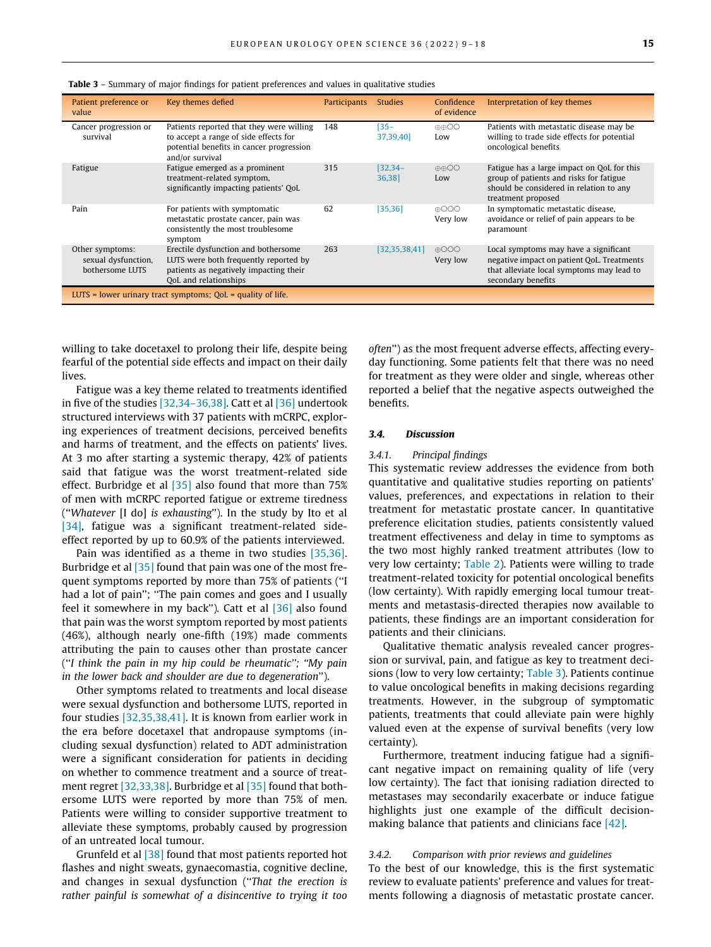| Patient preference or<br>value                                | Key themes defied                                                                                                                                | <b>Participants</b> | <b>Studies</b>      | Confidence<br>of evidence   | Interpretation of key themes                                                                                                                           |  |  |  |
|---------------------------------------------------------------|--------------------------------------------------------------------------------------------------------------------------------------------------|---------------------|---------------------|-----------------------------|--------------------------------------------------------------------------------------------------------------------------------------------------------|--|--|--|
| Cancer progression or<br>survival                             | Patients reported that they were willing<br>to accept a range of side effects for<br>potential benefits in cancer progression<br>and/or survival | 148                 | $135 -$<br>37,39,40 | $\oplus$ OO<br>Low          | Patients with metastatic disease may be<br>willing to trade side effects for potential<br>oncological benefits                                         |  |  |  |
| Fatigue                                                       | Fatigue emerged as a prominent<br>treatment-related symptom,<br>significantly impacting patients' QoL                                            | 315                 | [32, 34]<br>36,38   | <b>AAOO</b><br>Low          | Fatigue has a large impact on OoL for this<br>group of patients and risks for fatigue<br>should be considered in relation to any<br>treatment proposed |  |  |  |
| Pain                                                          | For patients with symptomatic<br>metastatic prostate cancer, pain was<br>consistently the most troublesome<br>symptom                            | 62                  | [35, 36]            | $\bigoplus$<br>Very low     | In symptomatic metastatic disease,<br>avoidance or relief of pain appears to be<br>paramount                                                           |  |  |  |
| Other symptoms:<br>sexual dysfunction,<br>bothersome LUTS     | Erectile dysfunction and bothersome<br>LUTS were both frequently reported by<br>patients as negatively impacting their<br>OoL and relationships  | 263                 | [32, 35, 38, 41]    | $\bigoplus$ OOO<br>Very low | Local symptoms may have a significant<br>negative impact on patient QoL. Treatments<br>that alleviate local symptoms may lead to<br>secondary benefits |  |  |  |
| LUTS = lower urinary tract symptoms; $QoL =$ quality of life. |                                                                                                                                                  |                     |                     |                             |                                                                                                                                                        |  |  |  |

<span id="page-6-0"></span>Table 3 - Summary of major findings for patient preferences and values in qualitative studies

willing to take docetaxel to prolong their life, despite being fearful of the potential side effects and impact on their daily lives.

Fatigue was a key theme related to treatments identified in five of the studies  $[32,34-36,38]$ . Catt et al  $[36]$  undertook structured interviews with 37 patients with mCRPC, exploring experiences of treatment decisions, perceived benefits and harms of treatment, and the effects on patients' lives. At 3 mo after starting a systemic therapy, 42% of patients said that fatigue was the worst treatment-related side effect. Burbridge et al [\[35\]](#page-9-0) also found that more than 75% of men with mCRPC reported fatigue or extreme tiredness (''Whatever [I do] is exhausting''). In the study by Ito et al [\[34\]](#page-9-0), fatigue was a significant treatment-related sideeffect reported by up to 60.9% of the patients interviewed.

Pain was identified as a theme in two studies [\[35,36\].](#page-9-0) Burbridge et al [\[35\]](#page-9-0) found that pain was one of the most frequent symptoms reported by more than 75% of patients (''I had a lot of pain"; "The pain comes and goes and I usually feel it somewhere in my back''). Catt et al [\[36\]](#page-9-0) also found that pain was the worst symptom reported by most patients (46%), although nearly one-fifth (19%) made comments attributing the pain to causes other than prostate cancer (''I think the pain in my hip could be rheumatic''; ''My pain in the lower back and shoulder are due to degeneration'').

Other symptoms related to treatments and local disease were sexual dysfunction and bothersome LUTS, reported in four studies [\[32,35,38,41\].](#page-9-0) It is known from earlier work in the era before docetaxel that andropause symptoms (including sexual dysfunction) related to ADT administration were a significant consideration for patients in deciding on whether to commence treatment and a source of treatment regret [\[32,33,38\].](#page-9-0) Burbridge et al [\[35\]](#page-9-0) found that bothersome LUTS were reported by more than 75% of men. Patients were willing to consider supportive treatment to alleviate these symptoms, probably caused by progression of an untreated local tumour.

Grunfeld et al [\[38\]](#page-9-0) found that most patients reported hot flashes and night sweats, gynaecomastia, cognitive decline, and changes in sexual dysfunction (''That the erection is rather painful is somewhat of a disincentive to trying it too often'') as the most frequent adverse effects, affecting everyday functioning. Some patients felt that there was no need for treatment as they were older and single, whereas other reported a belief that the negative aspects outweighed the benefits.

# 3.4. Discussion

## 3.4.1. Principal findings

This systematic review addresses the evidence from both quantitative and qualitative studies reporting on patients' values, preferences, and expectations in relation to their treatment for metastatic prostate cancer. In quantitative preference elicitation studies, patients consistently valued treatment effectiveness and delay in time to symptoms as the two most highly ranked treatment attributes (low to very low certainty; [Table 2\)](#page-5-0). Patients were willing to trade treatment-related toxicity for potential oncological benefits (low certainty). With rapidly emerging local tumour treatments and metastasis-directed therapies now available to patients, these findings are an important consideration for patients and their clinicians.

Qualitative thematic analysis revealed cancer progression or survival, pain, and fatigue as key to treatment decisions (low to very low certainty; Table 3). Patients continue to value oncological benefits in making decisions regarding treatments. However, in the subgroup of symptomatic patients, treatments that could alleviate pain were highly valued even at the expense of survival benefits (very low certainty).

Furthermore, treatment inducing fatigue had a significant negative impact on remaining quality of life (very low certainty). The fact that ionising radiation directed to metastases may secondarily exacerbate or induce fatigue highlights just one example of the difficult decisionmaking balance that patients and clinicians face  $[42]$ .

## 3.4.2. Comparison with prior reviews and guidelines

To the best of our knowledge, this is the first systematic review to evaluate patients' preference and values for treatments following a diagnosis of metastatic prostate cancer.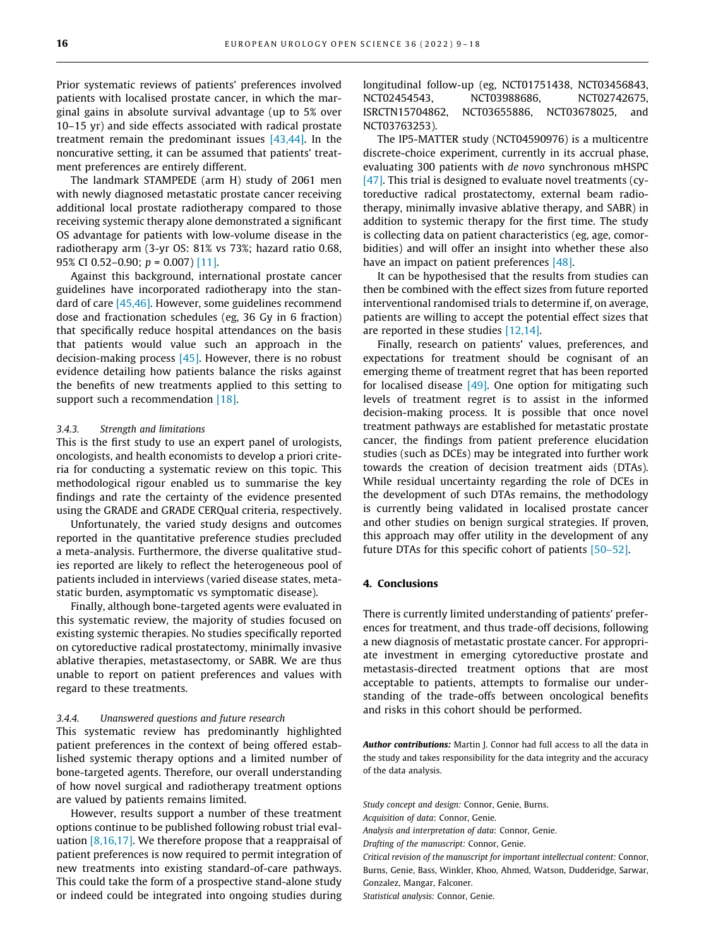Prior systematic reviews of patients' preferences involved patients with localised prostate cancer, in which the marginal gains in absolute survival advantage (up to 5% over 10–15 yr) and side effects associated with radical prostate treatment remain the predominant issues  $[43,44]$ . In the noncurative setting, it can be assumed that patients' treatment preferences are entirely different.

The landmark STAMPEDE (arm H) study of 2061 men with newly diagnosed metastatic prostate cancer receiving additional local prostate radiotherapy compared to those receiving systemic therapy alone demonstrated a significant OS advantage for patients with low-volume disease in the radiotherapy arm (3-yr OS: 81% vs 73%; hazard ratio 0.68, 95% CI 0.52-0.90;  $p = 0.007$  [\[11\].](#page-8-0)

Against this background, international prostate cancer guidelines have incorporated radiotherapy into the standard of care [\[45,46\].](#page-9-0) However, some guidelines recommend dose and fractionation schedules (eg, 36 Gy in 6 fraction) that specifically reduce hospital attendances on the basis that patients would value such an approach in the decision-making process  $[45]$ . However, there is no robust evidence detailing how patients balance the risks against the benefits of new treatments applied to this setting to support such a recommendation [\[18\].](#page-8-0)

## 3.4.3. Strength and limitations

This is the first study to use an expert panel of urologists, oncologists, and health economists to develop a priori criteria for conducting a systematic review on this topic. This methodological rigour enabled us to summarise the key findings and rate the certainty of the evidence presented using the GRADE and GRADE CERQual criteria, respectively.

Unfortunately, the varied study designs and outcomes reported in the quantitative preference studies precluded a meta-analysis. Furthermore, the diverse qualitative studies reported are likely to reflect the heterogeneous pool of patients included in interviews (varied disease states, metastatic burden, asymptomatic vs symptomatic disease).

Finally, although bone-targeted agents were evaluated in this systematic review, the majority of studies focused on existing systemic therapies. No studies specifically reported on cytoreductive radical prostatectomy, minimally invasive ablative therapies, metastasectomy, or SABR. We are thus unable to report on patient preferences and values with regard to these treatments.

#### 3.4.4. Unanswered questions and future research

This systematic review has predominantly highlighted patient preferences in the context of being offered established systemic therapy options and a limited number of bone-targeted agents. Therefore, our overall understanding of how novel surgical and radiotherapy treatment options are valued by patients remains limited.

However, results support a number of these treatment options continue to be published following robust trial evaluation [\[8,16,17\]](#page-8-0). We therefore propose that a reappraisal of patient preferences is now required to permit integration of new treatments into existing standard-of-care pathways. This could take the form of a prospective stand-alone study or indeed could be integrated into ongoing studies during longitudinal follow-up (eg, NCT01751438, NCT03456843, NCT02454543, NCT03988686, NCT02742675, ISRCTN15704862, NCT03655886, NCT03678025, and NCT03763253).

The IP5-MATTER study (NCT04590976) is a multicentre discrete-choice experiment, currently in its accrual phase, evaluating 300 patients with de novo synchronous mHSPC [\[47\].](#page-9-0) This trial is designed to evaluate novel treatments (cytoreductive radical prostatectomy, external beam radiotherapy, minimally invasive ablative therapy, and SABR) in addition to systemic therapy for the first time. The study is collecting data on patient characteristics (eg, age, comorbidities) and will offer an insight into whether these also have an impact on patient preferences [\[48\].](#page-9-0)

It can be hypothesised that the results from studies can then be combined with the effect sizes from future reported interventional randomised trials to determine if, on average, patients are willing to accept the potential effect sizes that are reported in these studies [\[12,14\]](#page-8-0).

Finally, research on patients' values, preferences, and expectations for treatment should be cognisant of an emerging theme of treatment regret that has been reported for localised disease  $[49]$ . One option for mitigating such levels of treatment regret is to assist in the informed decision-making process. It is possible that once novel treatment pathways are established for metastatic prostate cancer, the findings from patient preference elucidation studies (such as DCEs) may be integrated into further work towards the creation of decision treatment aids (DTAs). While residual uncertainty regarding the role of DCEs in the development of such DTAs remains, the methodology is currently being validated in localised prostate cancer and other studies on benign surgical strategies. If proven, this approach may offer utility in the development of any future DTAs for this specific cohort of patients [\[50–52\]](#page-9-0).

## 4. Conclusions

There is currently limited understanding of patients' preferences for treatment, and thus trade-off decisions, following a new diagnosis of metastatic prostate cancer. For appropriate investment in emerging cytoreductive prostate and metastasis-directed treatment options that are most acceptable to patients, attempts to formalise our understanding of the trade-offs between oncological benefits and risks in this cohort should be performed.

Author contributions: Martin J. Connor had full access to all the data in the study and takes responsibility for the data integrity and the accuracy of the data analysis.

Study concept and design: Connor, Genie, Burns.

Acquisition of data: Connor, Genie.

Analysis and interpretation of data: Connor, Genie.

Drafting of the manuscript: Connor, Genie.

Critical revision of the manuscript for important intellectual content: Connor, Burns, Genie, Bass, Winkler, Khoo, Ahmed, Watson, Dudderidge, Sarwar, Gonzalez, Mangar, Falconer.

Statistical analysis: Connor, Genie.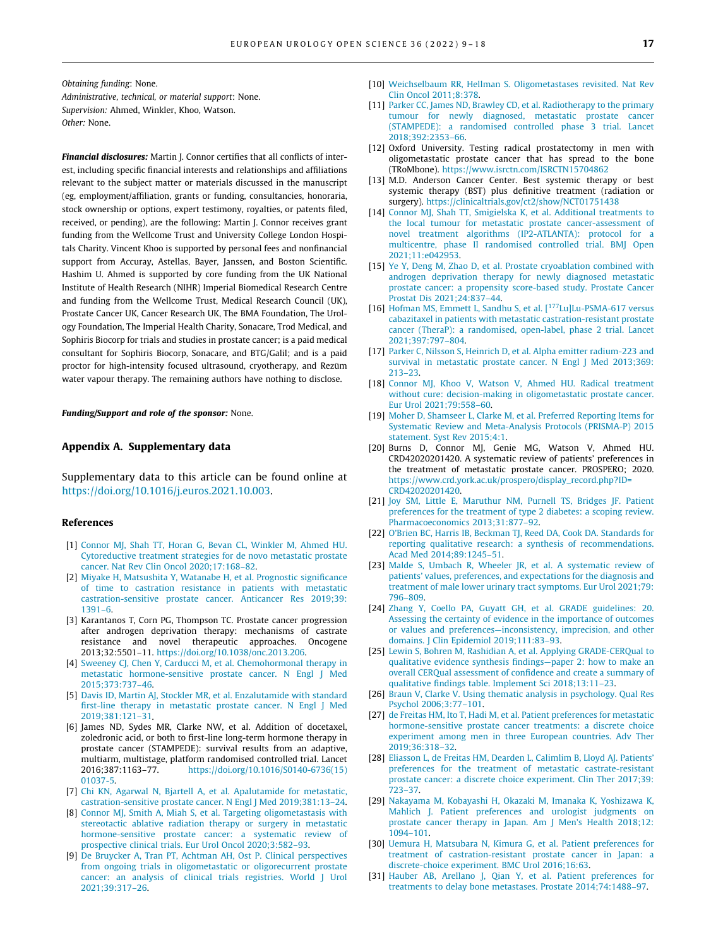<span id="page-8-0"></span>Obtaining funding: None. Administrative, technical, or material support: None. Supervision: Ahmed, Winkler, Khoo, Watson. Other: None.

Financial disclosures: Martin J. Connor certifies that all conflicts of interest, including specific financial interests and relationships and affiliations relevant to the subject matter or materials discussed in the manuscript (eg, employment/affiliation, grants or funding, consultancies, honoraria, stock ownership or options, expert testimony, royalties, or patents filed, received, or pending), are the following: Martin J. Connor receives grant funding from the Wellcome Trust and University College London Hospitals Charity. Vincent Khoo is supported by personal fees and nonfinancial support from Accuray, Astellas, Bayer, Janssen, and Boston Scientific. Hashim U. Ahmed is supported by core funding from the UK National Institute of Health Research (NIHR) Imperial Biomedical Research Centre and funding from the Wellcome Trust, Medical Research Council (UK), Prostate Cancer UK, Cancer Research UK, The BMA Foundation, The Urology Foundation, The Imperial Health Charity, Sonacare, Trod Medical, and Sophiris Biocorp for trials and studies in prostate cancer; is a paid medical consultant for Sophiris Biocorp, Sonacare, and BTG/Galil; and is a paid proctor for high-intensity focused ultrasound, cryotherapy, and Rezūm water vapour therapy. The remaining authors have nothing to disclose.

Funding/Support and role of the sponsor: None.

#### Appendix A. Supplementary data

Supplementary data to this article can be found online at [https://doi.org/10.1016/j.euros.2021.10.003.](https://doi.org/10.1016/j.euros.2021.10.003)

#### References

- [1] [Connor MJ, Shah TT, Horan G, Bevan CL, Winkler M, Ahmed HU.](http://refhub.elsevier.com/S2666-1683(21)01711-0/h0005) [Cytoreductive treatment strategies for de novo metastatic prostate](http://refhub.elsevier.com/S2666-1683(21)01711-0/h0005) [cancer. Nat Rev Clin Oncol 2020;17:168–82](http://refhub.elsevier.com/S2666-1683(21)01711-0/h0005).
- [2] [Miyake H, Matsushita Y, Watanabe H, et al. Prognostic significance](http://refhub.elsevier.com/S2666-1683(21)01711-0/h0010) [of time to castration resistance in patients with metastatic](http://refhub.elsevier.com/S2666-1683(21)01711-0/h0010) [castration-sensitive prostate cancer. Anticancer Res 2019;39:](http://refhub.elsevier.com/S2666-1683(21)01711-0/h0010) [1391–6](http://refhub.elsevier.com/S2666-1683(21)01711-0/h0010).
- [3] Karantanos T, Corn PG, Thompson TC. Prostate cancer progression after androgen deprivation therapy: mechanisms of castrate resistance and novel therapeutic approaches. Oncogene 2013;32:5501–11. <https://doi.org/10.1038/onc.2013.206>.
- [4] [Sweeney CJ, Chen Y, Carducci M, et al. Chemohormonal therapy in](http://refhub.elsevier.com/S2666-1683(21)01711-0/h0020) [metastatic hormone-sensitive prostate cancer. N Engl J Med](http://refhub.elsevier.com/S2666-1683(21)01711-0/h0020) [2015;373:737–46](http://refhub.elsevier.com/S2666-1683(21)01711-0/h0020).
- [5] [Davis ID, Martin AJ, Stockler MR, et al. Enzalutamide with standard](http://refhub.elsevier.com/S2666-1683(21)01711-0/h0025) [first-line therapy in metastatic prostate cancer. N Engl J Med](http://refhub.elsevier.com/S2666-1683(21)01711-0/h0025) [2019;381:121–31](http://refhub.elsevier.com/S2666-1683(21)01711-0/h0025).
- [6] James ND, Sydes MR, Clarke NW, et al. Addition of docetaxel, zoledronic acid, or both to first-line long-term hormone therapy in prostate cancer (STAMPEDE): survival results from an adaptive, multiarm, multistage, platform randomised controlled trial. Lancet 2016;387:1163–77. [https://doi.org/10.1016/S0140-6736\(15\)](https://doi.org/10.1016/S0140-6736(15)01037-5) [01037-5.](https://doi.org/10.1016/S0140-6736(15)01037-5)
- [7] [Chi KN, Agarwal N, Bjartell A, et al. Apalutamide for metastatic,](http://refhub.elsevier.com/S2666-1683(21)01711-0/h0035) [castration-sensitive prostate cancer. N Engl J Med 2019;381:13–24](http://refhub.elsevier.com/S2666-1683(21)01711-0/h0035).
- [8] [Connor MJ, Smith A, Miah S, et al. Targeting oligometastasis with](http://refhub.elsevier.com/S2666-1683(21)01711-0/h0040) [stereotactic ablative radiation therapy or surgery in metastatic](http://refhub.elsevier.com/S2666-1683(21)01711-0/h0040) [hormone-sensitive prostate cancer: a systematic review of](http://refhub.elsevier.com/S2666-1683(21)01711-0/h0040) [prospective clinical trials. Eur Urol Oncol 2020;3:582–93](http://refhub.elsevier.com/S2666-1683(21)01711-0/h0040).
- [9] [De Bruycker A, Tran PT, Achtman AH, Ost P. Clinical perspectives](http://refhub.elsevier.com/S2666-1683(21)01711-0/h0045) [from ongoing trials in oligometastatic or oligorecurrent prostate](http://refhub.elsevier.com/S2666-1683(21)01711-0/h0045) [cancer: an analysis of clinical trials registries. World J Urol](http://refhub.elsevier.com/S2666-1683(21)01711-0/h0045) [2021;39:317–26](http://refhub.elsevier.com/S2666-1683(21)01711-0/h0045).
- [10] [Weichselbaum RR, Hellman S. Oligometastases revisited. Nat Rev](http://refhub.elsevier.com/S2666-1683(21)01711-0/h0050) [Clin Oncol 2011;8:378.](http://refhub.elsevier.com/S2666-1683(21)01711-0/h0050)
- [11] [Parker CC, James ND, Brawley CD, et al. Radiotherapy to the primary](http://refhub.elsevier.com/S2666-1683(21)01711-0/h0055) [tumour for newly diagnosed, metastatic prostate cancer](http://refhub.elsevier.com/S2666-1683(21)01711-0/h0055) [\(STAMPEDE\): a randomised controlled phase 3 trial. Lancet](http://refhub.elsevier.com/S2666-1683(21)01711-0/h0055) [2018;392:2353–66](http://refhub.elsevier.com/S2666-1683(21)01711-0/h0055).
- [12] Oxford University. Testing radical prostatectomy in men with oligometastatic prostate cancer that has spread to the bone (TRoMbone). <https://www.isrctn.com/ISRCTN15704862>
- [13] M.D. Anderson Cancer Center. Best systemic therapy or best systemic therapy (BST) plus definitive treatment (radiation or surgery). <https://clinicaltrials.gov/ct2/show/NCT01751438>
- [14] [Connor MJ, Shah TT, Smigielska K, et al. Additional treatments to](http://refhub.elsevier.com/S2666-1683(21)01711-0/h0070) [the local tumour for metastatic prostate cancer-assessment of](http://refhub.elsevier.com/S2666-1683(21)01711-0/h0070) [novel treatment algorithms \(IP2-ATLANTA\): protocol for a](http://refhub.elsevier.com/S2666-1683(21)01711-0/h0070) [multicentre, phase II randomised controlled trial. BMJ Open](http://refhub.elsevier.com/S2666-1683(21)01711-0/h0070) [2021;11:e042953.](http://refhub.elsevier.com/S2666-1683(21)01711-0/h0070)
- [15] [Ye Y, Deng M, Zhao D, et al. Prostate cryoablation combined with](http://refhub.elsevier.com/S2666-1683(21)01711-0/h0075) [androgen deprivation therapy for newly diagnosed metastatic](http://refhub.elsevier.com/S2666-1683(21)01711-0/h0075) [prostate cancer: a propensity score-based study. Prostate Cancer](http://refhub.elsevier.com/S2666-1683(21)01711-0/h0075) [Prostat Dis 2021;24:837–44](http://refhub.elsevier.com/S2666-1683(21)01711-0/h0075).
- [16] [Hofman](http://refhub.elsevier.com/S2666-1683(21)01711-0/h0080) [MS,](http://refhub.elsevier.com/S2666-1683(21)01711-0/h0080) [Emmett](http://refhub.elsevier.com/S2666-1683(21)01711-0/h0080) [L,](http://refhub.elsevier.com/S2666-1683(21)01711-0/h0080) [Sandhu](http://refhub.elsevier.com/S2666-1683(21)01711-0/h0080) [S,](http://refhub.elsevier.com/S2666-1683(21)01711-0/h0080) [et](http://refhub.elsevier.com/S2666-1683(21)01711-0/h0080) [al.](http://refhub.elsevier.com/S2666-1683(21)01711-0/h0080) [\[](http://refhub.elsevier.com/S2666-1683(21)01711-0/h0080)<sup>177</sup>[Lu\]Lu-PSMA-617 versus](http://refhub.elsevier.com/S2666-1683(21)01711-0/h0080) [cabazitaxel in patients with metastatic castration-resistant prostate](http://refhub.elsevier.com/S2666-1683(21)01711-0/h0080) [cancer \(TheraP\): a randomised, open-label, phase 2 trial. Lancet](http://refhub.elsevier.com/S2666-1683(21)01711-0/h0080) [2021;397:797–804](http://refhub.elsevier.com/S2666-1683(21)01711-0/h0080).
- [17] [Parker C, Nilsson S, Heinrich D, et al. Alpha emitter radium-223 and](http://refhub.elsevier.com/S2666-1683(21)01711-0/h0085) [survival in metastatic prostate cancer. N Engl J Med 2013;369:](http://refhub.elsevier.com/S2666-1683(21)01711-0/h0085) [213–23.](http://refhub.elsevier.com/S2666-1683(21)01711-0/h0085)
- [18] [Connor MJ, Khoo V, Watson V, Ahmed HU. Radical treatment](http://refhub.elsevier.com/S2666-1683(21)01711-0/h0090) [without cure: decision-making in oligometastatic prostate cancer.](http://refhub.elsevier.com/S2666-1683(21)01711-0/h0090) [Eur Urol 2021;79:558–60](http://refhub.elsevier.com/S2666-1683(21)01711-0/h0090).
- [19] [Moher D, Shamseer L, Clarke M, et al. Preferred Reporting Items for](http://refhub.elsevier.com/S2666-1683(21)01711-0/h0095) [Systematic Review and Meta-Analysis Protocols \(PRISMA-P\) 2015](http://refhub.elsevier.com/S2666-1683(21)01711-0/h0095) [statement. Syst Rev 2015;4:1.](http://refhub.elsevier.com/S2666-1683(21)01711-0/h0095)
- [20] Burns D, Connor MJ, Genie MG, Watson V, Ahmed HU. CRD42020201420. A systematic review of patients' preferences in the treatment of metastatic prostate cancer. PROSPERO; 2020. [https://www.crd.york.ac.uk/prospero/display\\_record.php?ID=](https://www.crd.york.ac.uk/prospero/display_record.php?ID=CRD42020201420) [CRD42020201420](https://www.crd.york.ac.uk/prospero/display_record.php?ID=CRD42020201420).
- [21] [Joy SM, Little E, Maruthur NM, Purnell TS, Bridges JF. Patient](http://refhub.elsevier.com/S2666-1683(21)01711-0/h0105) [preferences for the treatment of type 2 diabetes: a scoping review.](http://refhub.elsevier.com/S2666-1683(21)01711-0/h0105) [Pharmacoeconomics 2013;31:877–92](http://refhub.elsevier.com/S2666-1683(21)01711-0/h0105).
- [22] [O'Brien BC, Harris IB, Beckman TJ, Reed DA, Cook DA. Standards for](http://refhub.elsevier.com/S2666-1683(21)01711-0/h0110) [reporting qualitative research: a synthesis of recommendations.](http://refhub.elsevier.com/S2666-1683(21)01711-0/h0110) [Acad Med 2014;89:1245–51.](http://refhub.elsevier.com/S2666-1683(21)01711-0/h0110)
- [23] [Malde S, Umbach R, Wheeler JR, et al. A systematic review of](http://refhub.elsevier.com/S2666-1683(21)01711-0/h0115) [patients' values, preferences, and expectations for the diagnosis and](http://refhub.elsevier.com/S2666-1683(21)01711-0/h0115) [treatment of male lower urinary tract symptoms. Eur Urol 2021;79:](http://refhub.elsevier.com/S2666-1683(21)01711-0/h0115) [796–809.](http://refhub.elsevier.com/S2666-1683(21)01711-0/h0115)
- [24] [Zhang Y, Coello PA, Guyatt GH, et al. GRADE guidelines: 20.](http://refhub.elsevier.com/S2666-1683(21)01711-0/h0120) [Assessing the certainty of evidence in the importance of outcomes](http://refhub.elsevier.com/S2666-1683(21)01711-0/h0120) [or values and preferences—inconsistency, imprecision, and other](http://refhub.elsevier.com/S2666-1683(21)01711-0/h0120) [domains. J Clin Epidemiol 2019;111:83–93](http://refhub.elsevier.com/S2666-1683(21)01711-0/h0120).
- [25] [Lewin S, Bohren M, Rashidian A, et al. Applying GRADE-CERQual to](http://refhub.elsevier.com/S2666-1683(21)01711-0/h0125) [qualitative evidence synthesis findings—paper 2: how to make an](http://refhub.elsevier.com/S2666-1683(21)01711-0/h0125) [overall CERQual assessment of confidence and create a summary of](http://refhub.elsevier.com/S2666-1683(21)01711-0/h0125) [qualitative findings table. Implement Sci 2018;13:11–23.](http://refhub.elsevier.com/S2666-1683(21)01711-0/h0125)
- [26] [Braun V, Clarke V. Using thematic analysis in psychology. Qual Res](http://refhub.elsevier.com/S2666-1683(21)01711-0/h0130) [Psychol 2006;3:77–101](http://refhub.elsevier.com/S2666-1683(21)01711-0/h0130).
- [27] [de Freitas HM, Ito T, Hadi M, et al. Patient preferences for metastatic](http://refhub.elsevier.com/S2666-1683(21)01711-0/h0135) [hormone-sensitive prostate cancer treatments: a discrete choice](http://refhub.elsevier.com/S2666-1683(21)01711-0/h0135) [experiment among men in three European countries. Adv Ther](http://refhub.elsevier.com/S2666-1683(21)01711-0/h0135) [2019;36:318–32.](http://refhub.elsevier.com/S2666-1683(21)01711-0/h0135)
- [28] [Eliasson L, de Freitas HM, Dearden L, Calimlim B, Lloyd AJ. Patients'](http://refhub.elsevier.com/S2666-1683(21)01711-0/h0140) [preferences for the treatment of metastatic castrate-resistant](http://refhub.elsevier.com/S2666-1683(21)01711-0/h0140) [prostate cancer: a discrete choice experiment. Clin Ther 2017;39:](http://refhub.elsevier.com/S2666-1683(21)01711-0/h0140) [723–37.](http://refhub.elsevier.com/S2666-1683(21)01711-0/h0140)
- [29] [Nakayama M, Kobayashi H, Okazaki M, Imanaka K, Yoshizawa K,](http://refhub.elsevier.com/S2666-1683(21)01711-0/h0145) [Mahlich J. Patient preferences and urologist judgments on](http://refhub.elsevier.com/S2666-1683(21)01711-0/h0145) [prostate cancer therapy in Japan. Am J Men's Health 2018;12:](http://refhub.elsevier.com/S2666-1683(21)01711-0/h0145) [1094–101](http://refhub.elsevier.com/S2666-1683(21)01711-0/h0145).
- [30] [Uemura H, Matsubara N, Kimura G, et al. Patient preferences for](http://refhub.elsevier.com/S2666-1683(21)01711-0/h0150) [treatment of castration-resistant prostate cancer in Japan: a](http://refhub.elsevier.com/S2666-1683(21)01711-0/h0150) [discrete-choice experiment. BMC Urol 2016;16:63](http://refhub.elsevier.com/S2666-1683(21)01711-0/h0150).
- [31] [Hauber AB, Arellano J, Qian Y, et al. Patient preferences for](http://refhub.elsevier.com/S2666-1683(21)01711-0/h0155) [treatments to delay bone metastases. Prostate 2014;74:1488–97.](http://refhub.elsevier.com/S2666-1683(21)01711-0/h0155)